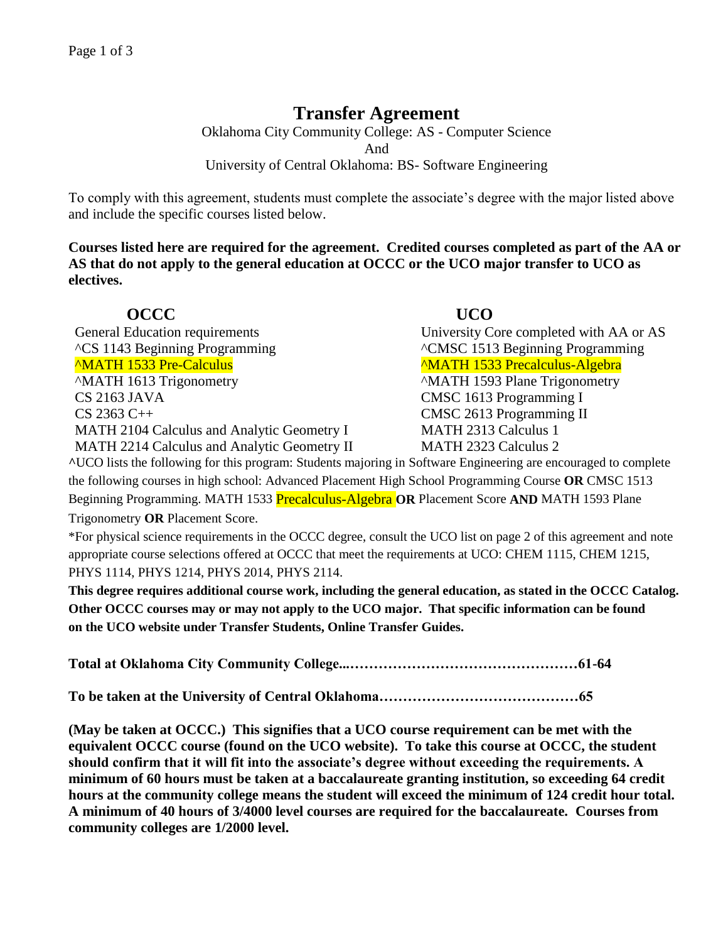## **Transfer Agreement**

Oklahoma City Community College: AS - Computer Science And University of Central Oklahoma: BS- Software Engineering

To comply with this agreement, students must complete the associate's degree with the major listed above and include the specific courses listed below.

**Courses listed here are required for the agreement. Credited courses completed as part of the AA or AS that do not apply to the general education at OCCC or the UCO major transfer to UCO as electives.**

**OCCC UCO**  General Education requirements University Core completed with AA or AS ^CS 1143 Beginning Programming ^CMSC 1513 Beginning Programming ^MATH 1533 Pre-Calculus ^MATH 1533 Precalculus-Algebra ^MATH 1613 Trigonometry ^MATH 1593 Plane Trigonometry CS 2163 JAVA CMSC 1613 Programming I CS 2363 C++ CMSC 2613 Programming II MATH 2104 Calculus and Analytic Geometry I MATH 2313 Calculus 1

MATH 2214 Calculus and Analytic Geometry II MATH 2323 Calculus 2

**^**UCO lists the following for this program: Students majoring in Software Engineering are encouraged to complete the following courses in high school: Advanced Placement High School Programming Course **OR** CMSC 1513 Beginning Programming. MATH 1533 Precalculus-Algebra **OR** Placement Score **AND** MATH 1593 Plane Trigonometry **OR** Placement Score.

\*For physical science requirements in the OCCC degree, consult the UCO list on page 2 of this agreement and note appropriate course selections offered at OCCC that meet the requirements at UCO: CHEM 1115, CHEM 1215, PHYS 1114, PHYS 1214, PHYS 2014, PHYS 2114.

**This degree requires additional course work, including the general education, as stated in the OCCC Catalog. Other OCCC courses may or may not apply to the UCO major. That specific information can be found on the UCO website under Transfer Students, Online Transfer Guides.** 

**Total at Oklahoma City Community College...…………………………………………61-64**

**To be taken at the University of Central Oklahoma……………………………………65**

**(May be taken at OCCC.) This signifies that a UCO course requirement can be met with the equivalent OCCC course (found on the UCO website). To take this course at OCCC, the student should confirm that it will fit into the associate's degree without exceeding the requirements. A minimum of 60 hours must be taken at a baccalaureate granting institution, so exceeding 64 credit hours at the community college means the student will exceed the minimum of 124 credit hour total. A minimum of 40 hours of 3/4000 level courses are required for the baccalaureate. Courses from community colleges are 1/2000 level.**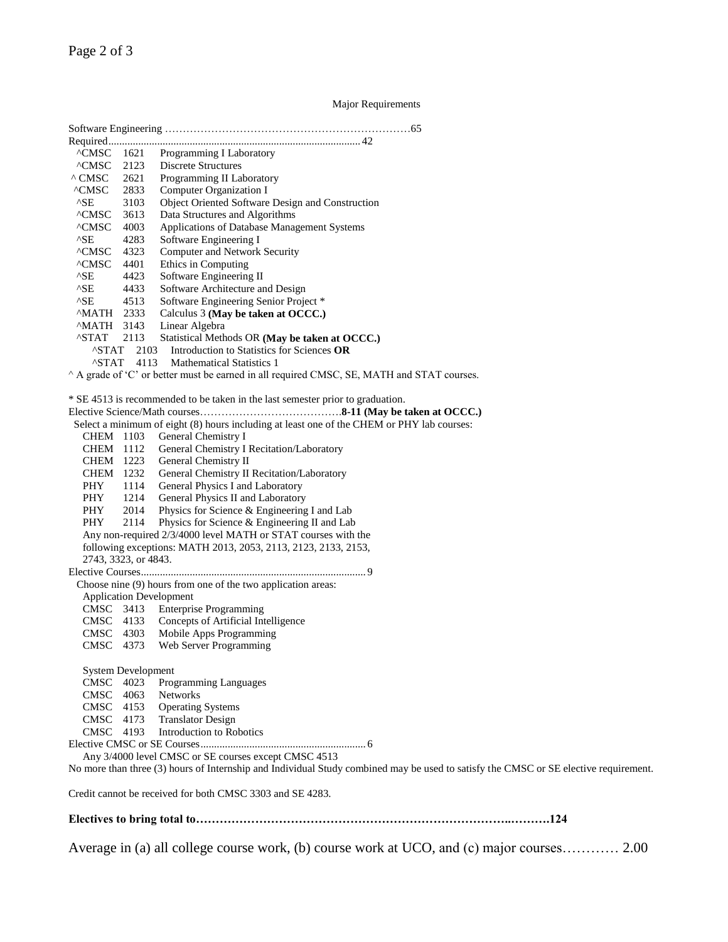Page 2 of 3

Major Requirements

Software Engineering ……………………………………………………………65 Required............................................................................................. 42 ^CMSC 1621 Programming I Laboratory ^CMSC 2123 Discrete Structures ^ CMSC 2621 Programming II Laboratory ^CMSC 2833 Computer Organization I ^SE 3103 Object Oriented Software Design and Construction ^CMSC 3613 Data Structures and Algorithms ^CMSC 4003 Applications of Database Management Systems ^SE 4283 Software Engineering I ^CMSC 4323 Computer and Network Security ^CMSC 4401 Ethics in Computing ^SE 4423 Software Engineering II ASE 4433 Software Architecture and Design<br>ASE 4513 Software Engineering Senior Proje  $^{\wedge}$ SE 4513 Software Engineering Senior Project \*<br>  $^{\wedge}$ MATH 2333 Calculus 3 (May be taken at OCCC.) ^MATH 2333 Calculus 3 **(May be taken at OCCC.)** Linear Algebra ^STAT 2113 Statistical Methods OR **(May be taken at OCCC.)** ^STAT 2103 Introduction to Statistics for Sciences **OR** ^STAT 4113 Mathematical Statistics 1 ^ A grade of 'C' or better must be earned in all required CMSC, SE, MATH and STAT courses. \* SE 4513 is recommended to be taken in the last semester prior to graduation. Elective Science/Math courses………………………………….**8-11 (May be taken at OCCC.)**  Select a minimum of eight (8) hours including at least one of the CHEM or PHY lab courses: CHEM 1103 General Chemistry I CHEM 1112 General Chemistry I Recitation/Laboratory CHEM 1223 General Chemistry II CHEM 1232 General Chemistry II Recitation/Laboratory PHY 1114 General Physics I and Laboratory PHY 1214 General Physics II and Laboratory PHY 2014 Physics for Science & Engineering I and Lab PHY 2114 Physics for Science & Engineering II and Lab Any non-required 2/3/4000 level MATH or STAT courses with the following exceptions: MATH 2013, 2053, 2113, 2123, 2133, 2153, 2743, 3323, or 4843. Elective Courses................................................................................... 9 Choose nine (9) hours from one of the two application areas: Application Development<br>CMSC 3413 Enterpri<br>CMSC 4133 Concept **Enterprise Programming** CMSC 4133 Concepts of Artificial Intelligence<br>CMSC 4303 Mobile Apps Programming CMSC 4303 Mobile Apps Programming<br>CMSC 4373 Web Server Programming Web Server Programming System Development CMSC 4023 Programming Languages CMSC 4063 Networks<br>CMSC 4153 Operating CMSC 4153 Operating Systems<br>CMSC 4173 Translator Design Translator Design CMSC 4193 Introduction to Robotics Elective CMSC or SE Courses............................................................. 6 Any 3/4000 level CMSC or SE courses except CMSC 4513 No more than three (3) hours of Internship and Individual Study combined may be used to satisfy the CMSC or SE elective requirement. Credit cannot be received for both CMSC 3303 and SE 4283.

**Electives to bring total to……………………………………………………………………..……….124** 

Average in (a) all college course work, (b) course work at UCO, and (c) major courses………… 2.00